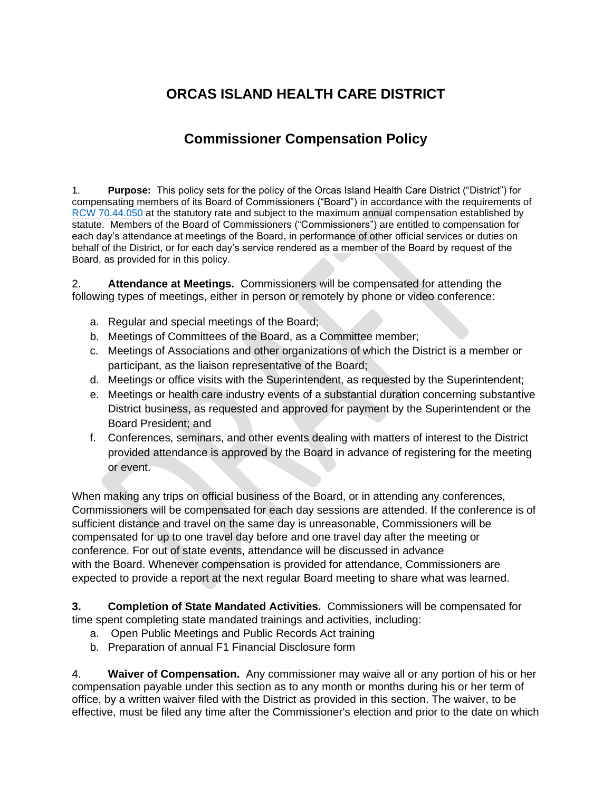## **ORCAS ISLAND HEALTH CARE DISTRICT**

## **Commissioner Compensation Policy**

1. **Purpose:** This policy sets for the policy of the Orcas Island Health Care District ("District") for compensating members of its Board of Commissioners ("Board") in accordance with the requirements of [RCW 70.44.050](https://app.leg.wa.gov/RCW/default.aspx?cite=70.44.050) at the statutory rate and subject to the maximum annual compensation established by statute. Members of the Board of Commissioners ("Commissioners") are entitled to compensation for each day's attendance at meetings of the Board, in performance of other official services or duties on behalf of the District, or for each day's service rendered as a member of the Board by request of the Board, as provided for in this policy.

2. **Attendance at Meetings.** Commissioners will be compensated for attending the following types of meetings, either in person or remotely by phone or video conference:

- a. Regular and special meetings of the Board;
- b. Meetings of Committees of the Board, as a Committee member;
- c. Meetings of Associations and other organizations of which the District is a member or participant, as the liaison representative of the Board;
- d. Meetings or office visits with the Superintendent, as requested by the Superintendent;
- e. Meetings or health care industry events of a substantial duration concerning substantive District business, as requested and approved for payment by the Superintendent or the Board President; and
- f. Conferences, seminars, and other events dealing with matters of interest to the District provided attendance is approved by the Board in advance of registering for the meeting or event.

When making any trips on official business of the Board, or in attending any conferences, Commissioners will be compensated for each day sessions are attended. If the conference is of sufficient distance and travel on the same day is unreasonable, Commissioners will be compensated for up to one travel day before and one travel day after the meeting or conference. For out of state events, attendance will be discussed in advance with the Board. Whenever compensation is provided for attendance, Commissioners are expected to provide a report at the next regular Board meeting to share what was learned.

**3. Completion of State Mandated Activities.** Commissioners will be compensated for time spent completing state mandated trainings and activities, including:

- a. Open Public Meetings and Public Records Act training
- b. Preparation of annual F1 Financial Disclosure form

4. **Waiver of Compensation.** Any commissioner may waive all or any portion of his or her compensation payable under this section as to any month or months during his or her term of office, by a written waiver filed with the District as provided in this section. The waiver, to be effective, must be filed any time after the Commissioner's election and prior to the date on which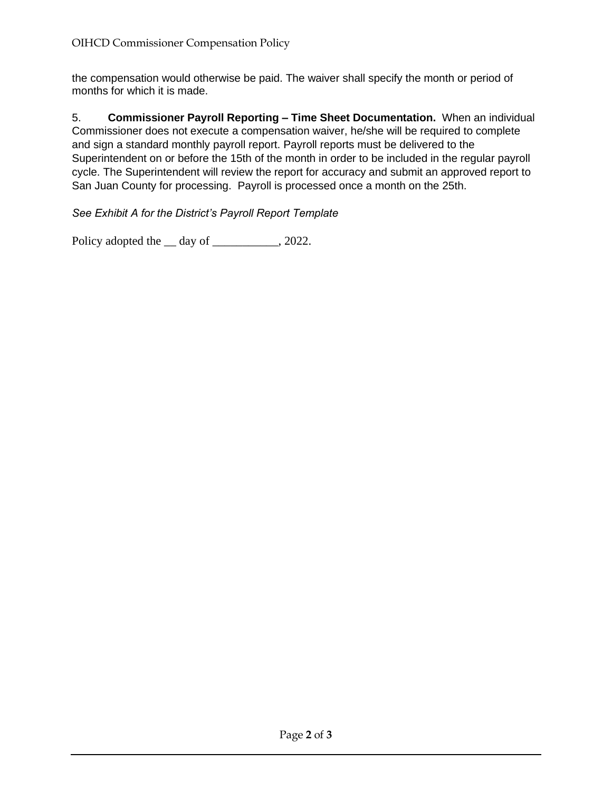the compensation would otherwise be paid. The waiver shall specify the month or period of months for which it is made.

5. **Commissioner Payroll Reporting – Time Sheet Documentation.** When an individual Commissioner does not execute a compensation waiver, he/she will be required to complete and sign a standard monthly payroll report. Payroll reports must be delivered to the Superintendent on or before the 15th of the month in order to be included in the regular payroll cycle. The Superintendent will review the report for accuracy and submit an approved report to San Juan County for processing. Payroll is processed once a month on the 25th.

*See Exhibit A for the District's Payroll Report Template*

Policy adopted the \_\_ day of \_\_\_\_\_\_\_\_\_\_, 2022.